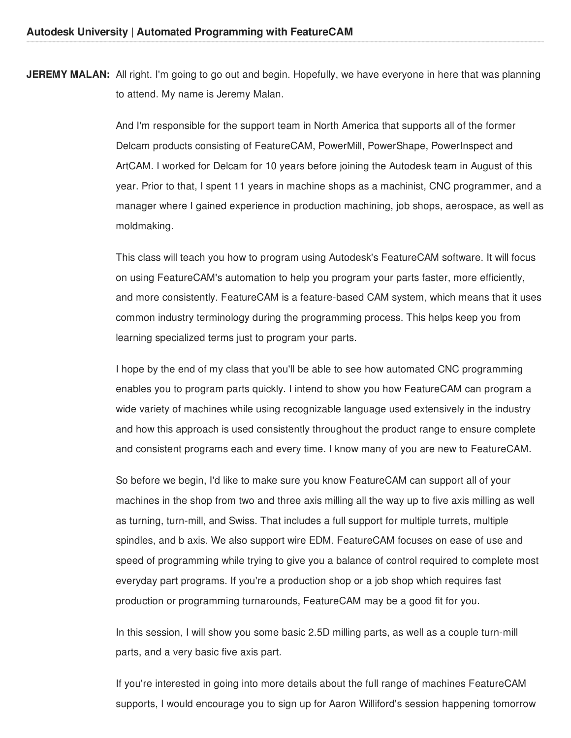**JEREMY MALAN:** All right. I'm going to go out and begin. Hopefully, we have everyone in here that was planning to attend. My name is Jeremy Malan.

> And I'm responsible for the support team in North America that supports all of the former Delcam products consisting of FeatureCAM, PowerMill, PowerShape, PowerInspect and ArtCAM. I worked for Delcam for 10 years before joining the Autodesk team in August of this year. Prior to that, I spent 11 years in machine shops as a machinist, CNC programmer, and a manager where I gained experience in production machining, job shops, aerospace, as well as moldmaking.

> This class will teach you how to program using Autodesk's FeatureCAM software. It will focus on using FeatureCAM's automation to help you program your parts faster, more efficiently, and more consistently. FeatureCAM is a feature-based CAM system, which means that it uses common industry terminology during the programming process. This helps keep you from learning specialized terms just to program your parts.

I hope by the end of my class that you'll be able to see how automated CNC programming enables you to program parts quickly. I intend to show you how FeatureCAM can program a wide variety of machines while using recognizable language used extensively in the industry and how this approach is used consistently throughout the product range to ensure complete and consistent programs each and every time. I know many of you are new to FeatureCAM.

So before we begin, I'd like to make sure you know FeatureCAM can support all of your machines in the shop from two and three axis milling all the way up to five axis milling as well as turning, turn-mill, and Swiss. That includes a full support for multiple turrets, multiple spindles, and b axis. We also support wire EDM. FeatureCAM focuses on ease of use and speed of programming while trying to give you a balance of control required to complete most everyday part programs. If you're a production shop or a job shop which requires fast production or programming turnarounds, FeatureCAM may be a good fit for you.

In this session, I will show you some basic 2.5D milling parts, as well as a couple turn-mill parts, and a very basic five axis part.

If you're interested in going into more details about the full range of machines FeatureCAM supports, I would encourage you to sign up for Aaron Williford's session happening tomorrow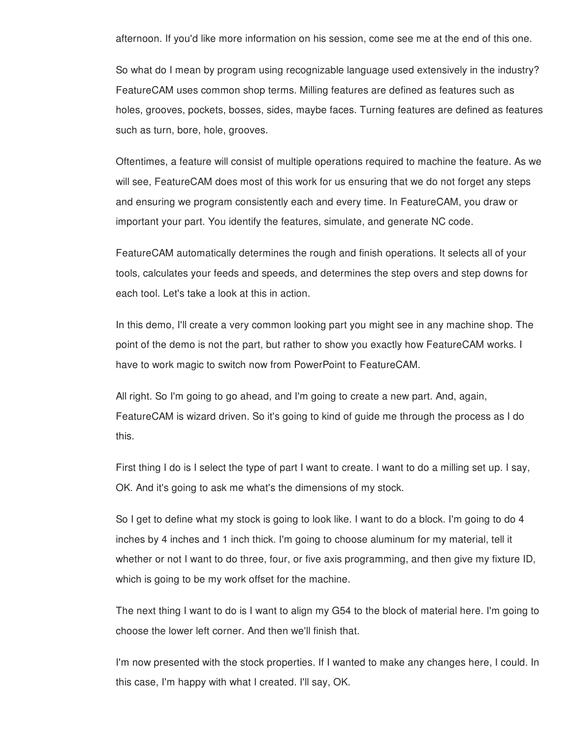afternoon. If you'd like more information on his session, come see me at the end of this one.

So what do I mean by program using recognizable language used extensively in the industry? FeatureCAM uses common shop terms. Milling features are defined as features such as holes, grooves, pockets, bosses, sides, maybe faces. Turning features are defined as features such as turn, bore, hole, grooves.

Oftentimes, a feature will consist of multiple operations required to machine the feature. As we will see, FeatureCAM does most of this work for us ensuring that we do not forget any steps and ensuring we program consistently each and every time. In FeatureCAM, you draw or important your part. You identify the features, simulate, and generate NC code.

FeatureCAM automatically determines the rough and finish operations. It selects all of your tools, calculates your feeds and speeds, and determines the step overs and step downs for each tool. Let's take a look at this in action.

In this demo, I'll create a very common looking part you might see in any machine shop. The point of the demo is not the part, but rather to show you exactly how FeatureCAM works. I have to work magic to switch now from PowerPoint to FeatureCAM.

All right. So I'm going to go ahead, and I'm going to create a new part. And, again, FeatureCAM is wizard driven. So it's going to kind of guide me through the process as I do this.

First thing I do is I select the type of part I want to create. I want to do a milling set up. I say, OK. And it's going to ask me what's the dimensions of my stock.

So I get to define what my stock is going to look like. I want to do a block. I'm going to do 4 inches by 4 inches and 1 inch thick. I'm going to choose aluminum for my material, tell it whether or not I want to do three, four, or five axis programming, and then give my fixture ID, which is going to be my work offset for the machine.

The next thing I want to do is I want to align my G54 to the block of material here. I'm going to choose the lower left corner. And then we'll finish that.

I'm now presented with the stock properties. If I wanted to make any changes here, I could. In this case, I'm happy with what I created. I'll say, OK.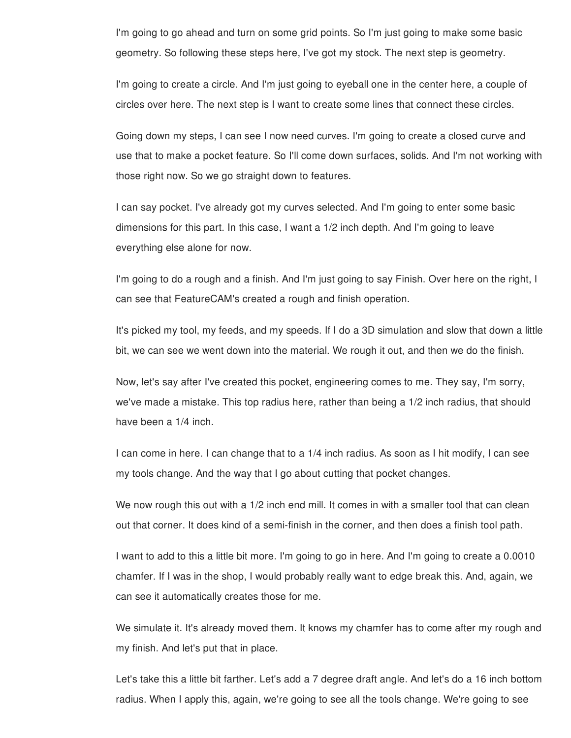I'm going to go ahead and turn on some grid points. So I'm just going to make some basic geometry. So following these steps here, I've got my stock. The next step is geometry.

I'm going to create a circle. And I'm just going to eyeball one in the center here, a couple of circles over here. The next step is I want to create some lines that connect these circles.

Going down my steps, I can see I now need curves. I'm going to create a closed curve and use that to make a pocket feature. So I'll come down surfaces, solids. And I'm not working with those right now. So we go straight down to features.

I can say pocket. I've already got my curves selected. And I'm going to enter some basic dimensions for this part. In this case, I want a 1/2 inch depth. And I'm going to leave everything else alone for now.

I'm going to do a rough and a finish. And I'm just going to say Finish. Over here on the right, I can see that FeatureCAM's created a rough and finish operation.

It's picked my tool, my feeds, and my speeds. If I do a 3D simulation and slow that down a little bit, we can see we went down into the material. We rough it out, and then we do the finish.

Now, let's say after I've created this pocket, engineering comes to me. They say, I'm sorry, we've made a mistake. This top radius here, rather than being a 1/2 inch radius, that should have been a 1/4 inch.

I can come in here. I can change that to a 1/4 inch radius. As soon as I hit modify, I can see my tools change. And the way that I go about cutting that pocket changes.

We now rough this out with a 1/2 inch end mill. It comes in with a smaller tool that can clean out that corner. It does kind of a semi-finish in the corner, and then does a finish tool path.

I want to add to this a little bit more. I'm going to go in here. And I'm going to create a 0.0010 chamfer. If I was in the shop, I would probably really want to edge break this. And, again, we can see it automatically creates those for me.

We simulate it. It's already moved them. It knows my chamfer has to come after my rough and my finish. And let's put that in place.

Let's take this a little bit farther. Let's add a 7 degree draft angle. And let's do a 16 inch bottom radius. When I apply this, again, we're going to see all the tools change. We're going to see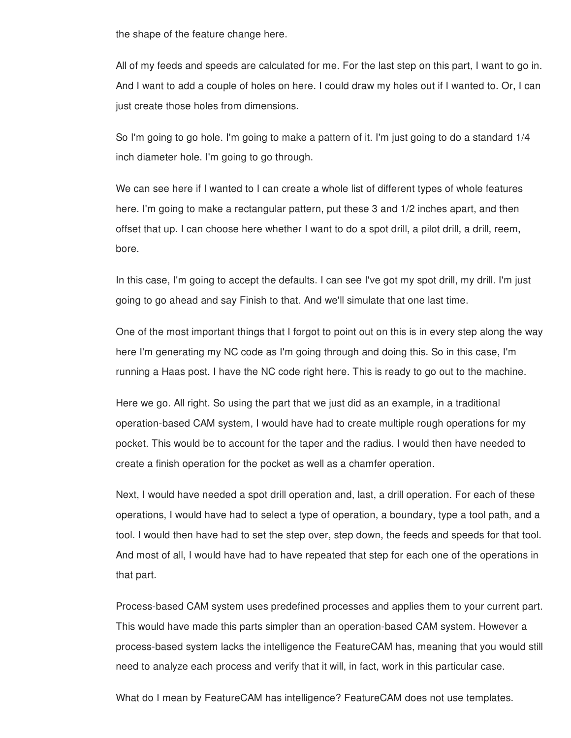the shape of the feature change here.

All of my feeds and speeds are calculated for me. For the last step on this part, I want to go in. And I want to add a couple of holes on here. I could draw my holes out if I wanted to. Or, I can just create those holes from dimensions.

So I'm going to go hole. I'm going to make a pattern of it. I'm just going to do a standard 1/4 inch diameter hole. I'm going to go through.

We can see here if I wanted to I can create a whole list of different types of whole features here. I'm going to make a rectangular pattern, put these 3 and 1/2 inches apart, and then offset that up. I can choose here whether I want to do a spot drill, a pilot drill, a drill, reem, bore.

In this case, I'm going to accept the defaults. I can see I've got my spot drill, my drill. I'm just going to go ahead and say Finish to that. And we'll simulate that one last time.

One of the most important things that I forgot to point out on this is in every step along the way here I'm generating my NC code as I'm going through and doing this. So in this case, I'm running a Haas post. I have the NC code right here. This is ready to go out to the machine.

Here we go. All right. So using the part that we just did as an example, in a traditional operation-based CAM system, I would have had to create multiple rough operations for my pocket. This would be to account for the taper and the radius. I would then have needed to create a finish operation for the pocket as well as a chamfer operation.

Next, I would have needed a spot drill operation and, last, a drill operation. For each of these operations, I would have had to select a type of operation, a boundary, type a tool path, and a tool. I would then have had to set the step over, step down, the feeds and speeds for that tool. And most of all, I would have had to have repeated that step for each one of the operations in that part.

Process-based CAM system uses predefined processes and applies them to your current part. This would have made this parts simpler than an operation-based CAM system. However a process-based system lacks the intelligence the FeatureCAM has, meaning that you would still need to analyze each process and verify that it will, in fact, work in this particular case.

What do I mean by FeatureCAM has intelligence? FeatureCAM does not use templates.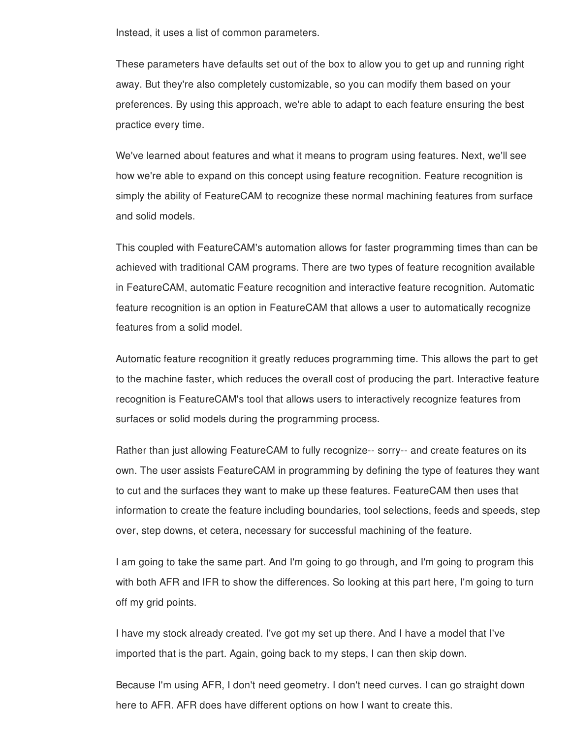Instead, it uses a list of common parameters.

These parameters have defaults set out of the box to allow you to get up and running right away. But they're also completely customizable, so you can modify them based on your preferences. By using this approach, we're able to adapt to each feature ensuring the best practice every time.

We've learned about features and what it means to program using features. Next, we'll see how we're able to expand on this concept using feature recognition. Feature recognition is simply the ability of FeatureCAM to recognize these normal machining features from surface and solid models.

This coupled with FeatureCAM's automation allows for faster programming times than can be achieved with traditional CAM programs. There are two types of feature recognition available in FeatureCAM, automatic Feature recognition and interactive feature recognition. Automatic feature recognition is an option in FeatureCAM that allows a user to automatically recognize features from a solid model.

Automatic feature recognition it greatly reduces programming time. This allows the part to get to the machine faster, which reduces the overall cost of producing the part. Interactive feature recognition is FeatureCAM's tool that allows users to interactively recognize features from surfaces or solid models during the programming process.

Rather than just allowing FeatureCAM to fully recognize-- sorry-- and create features on its own. The user assists FeatureCAM in programming by defining the type of features they want to cut and the surfaces they want to make up these features. FeatureCAM then uses that information to create the feature including boundaries, tool selections, feeds and speeds, step over, step downs, et cetera, necessary for successful machining of the feature.

I am going to take the same part. And I'm going to go through, and I'm going to program this with both AFR and IFR to show the differences. So looking at this part here, I'm going to turn off my grid points.

I have my stock already created. I've got my set up there. And I have a model that I've imported that is the part. Again, going back to my steps, I can then skip down.

Because I'm using AFR, I don't need geometry. I don't need curves. I can go straight down here to AFR. AFR does have different options on how I want to create this.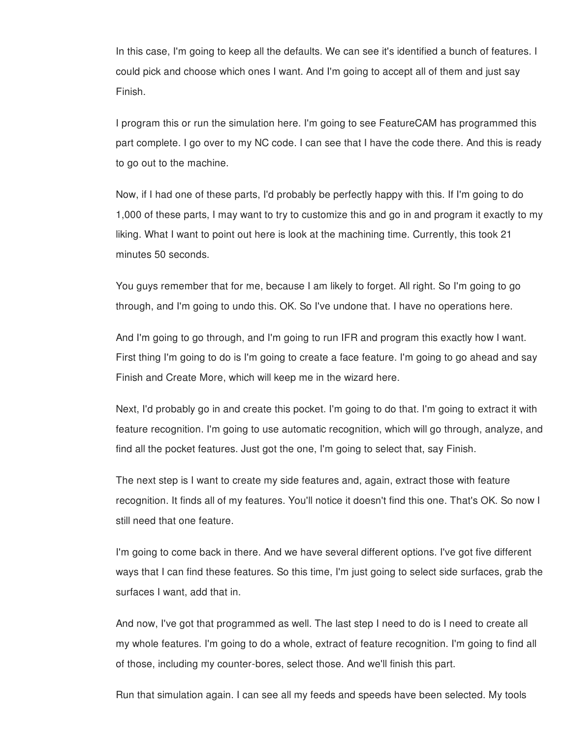In this case, I'm going to keep all the defaults. We can see it's identified a bunch of features. I could pick and choose which ones I want. And I'm going to accept all of them and just say Finish.

I program this or run the simulation here. I'm going to see FeatureCAM has programmed this part complete. I go over to my NC code. I can see that I have the code there. And this is ready to go out to the machine.

Now, if I had one of these parts, I'd probably be perfectly happy with this. If I'm going to do 1,000 of these parts, I may want to try to customize this and go in and program it exactly to my liking. What I want to point out here is look at the machining time. Currently, this took 21 minutes 50 seconds.

You guys remember that for me, because I am likely to forget. All right. So I'm going to go through, and I'm going to undo this. OK. So I've undone that. I have no operations here.

And I'm going to go through, and I'm going to run IFR and program this exactly how I want. First thing I'm going to do is I'm going to create a face feature. I'm going to go ahead and say Finish and Create More, which will keep me in the wizard here.

Next, I'd probably go in and create this pocket. I'm going to do that. I'm going to extract it with feature recognition. I'm going to use automatic recognition, which will go through, analyze, and find all the pocket features. Just got the one, I'm going to select that, say Finish.

The next step is I want to create my side features and, again, extract those with feature recognition. It finds all of my features. You'll notice it doesn't find this one. That's OK. So now I still need that one feature.

I'm going to come back in there. And we have several different options. I've got five different ways that I can find these features. So this time, I'm just going to select side surfaces, grab the surfaces I want, add that in.

And now, I've got that programmed as well. The last step I need to do is I need to create all my whole features. I'm going to do a whole, extract of feature recognition. I'm going to find all of those, including my counter-bores, select those. And we'll finish this part.

Run that simulation again. I can see all my feeds and speeds have been selected. My tools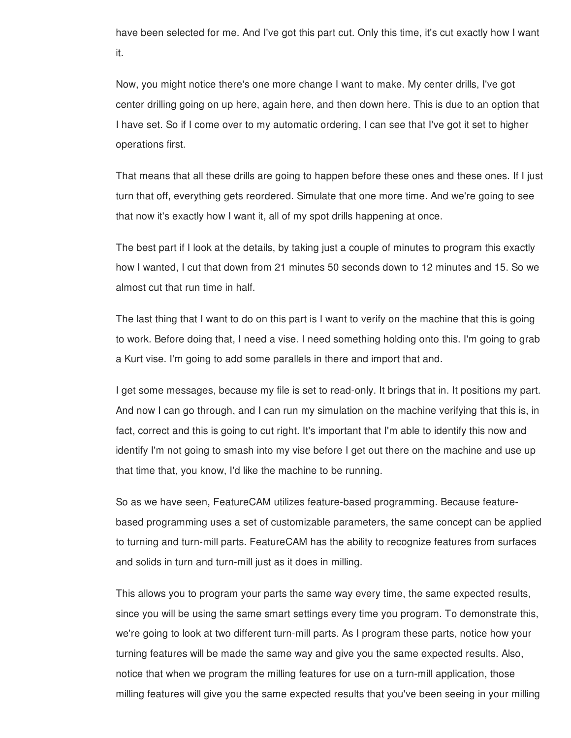have been selected for me. And I've got this part cut. Only this time, it's cut exactly how I want it.

Now, you might notice there's one more change I want to make. My center drills, I've got center drilling going on up here, again here, and then down here. This is due to an option that I have set. So if I come over to my automatic ordering, I can see that I've got it set to higher operations first.

That means that all these drills are going to happen before these ones and these ones. If I just turn that off, everything gets reordered. Simulate that one more time. And we're going to see that now it's exactly how I want it, all of my spot drills happening at once.

The best part if I look at the details, by taking just a couple of minutes to program this exactly how I wanted, I cut that down from 21 minutes 50 seconds down to 12 minutes and 15. So we almost cut that run time in half.

The last thing that I want to do on this part is I want to verify on the machine that this is going to work. Before doing that, I need a vise. I need something holding onto this. I'm going to grab a Kurt vise. I'm going to add some parallels in there and import that and.

I get some messages, because my file is set to read-only. It brings that in. It positions my part. And now I can go through, and I can run my simulation on the machine verifying that this is, in fact, correct and this is going to cut right. It's important that I'm able to identify this now and identify I'm not going to smash into my vise before I get out there on the machine and use up that time that, you know, I'd like the machine to be running.

So as we have seen, FeatureCAM utilizes feature-based programming. Because featurebased programming uses a set of customizable parameters, the same concept can be applied to turning and turn-mill parts. FeatureCAM has the ability to recognize features from surfaces and solids in turn and turn-mill just as it does in milling.

This allows you to program your parts the same way every time, the same expected results, since you will be using the same smart settings every time you program. To demonstrate this, we're going to look at two different turn-mill parts. As I program these parts, notice how your turning features will be made the same way and give you the same expected results. Also, notice that when we program the milling features for use on a turn-mill application, those milling features will give you the same expected results that you've been seeing in your milling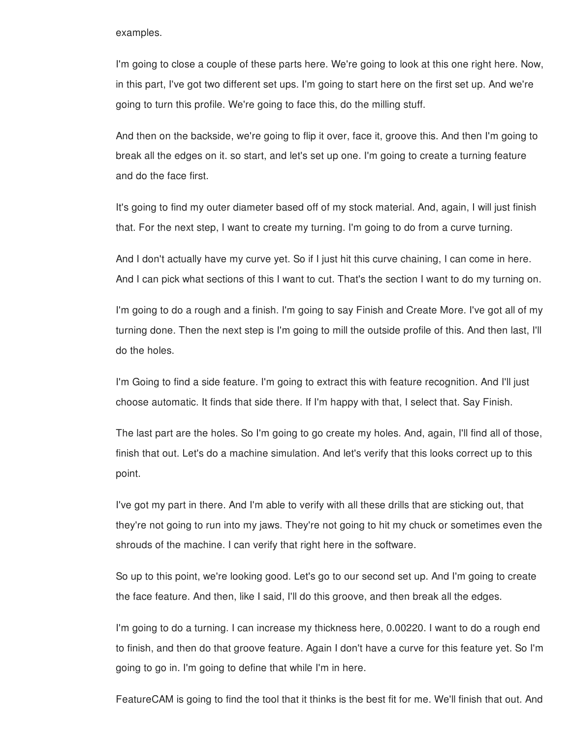## examples.

I'm going to close a couple of these parts here. We're going to look at this one right here. Now, in this part, I've got two different set ups. I'm going to start here on the first set up. And we're going to turn this profile. We're going to face this, do the milling stuff.

And then on the backside, we're going to flip it over, face it, groove this. And then I'm going to break all the edges on it. so start, and let's set up one. I'm going to create a turning feature and do the face first.

It's going to find my outer diameter based off of my stock material. And, again, I will just finish that. For the next step, I want to create my turning. I'm going to do from a curve turning.

And I don't actually have my curve yet. So if I just hit this curve chaining, I can come in here. And I can pick what sections of this I want to cut. That's the section I want to do my turning on.

I'm going to do a rough and a finish. I'm going to say Finish and Create More. I've got all of my turning done. Then the next step is I'm going to mill the outside profile of this. And then last, I'll do the holes.

I'm Going to find a side feature. I'm going to extract this with feature recognition. And I'll just choose automatic. It finds that side there. If I'm happy with that, I select that. Say Finish.

The last part are the holes. So I'm going to go create my holes. And, again, I'll find all of those, finish that out. Let's do a machine simulation. And let's verify that this looks correct up to this point.

I've got my part in there. And I'm able to verify with all these drills that are sticking out, that they're not going to run into my jaws. They're not going to hit my chuck or sometimes even the shrouds of the machine. I can verify that right here in the software.

So up to this point, we're looking good. Let's go to our second set up. And I'm going to create the face feature. And then, like I said, I'll do this groove, and then break all the edges.

I'm going to do a turning. I can increase my thickness here, 0.00220. I want to do a rough end to finish, and then do that groove feature. Again I don't have a curve for this feature yet. So I'm going to go in. I'm going to define that while I'm in here.

FeatureCAM is going to find the tool that it thinks is the best fit for me. We'll finish that out. And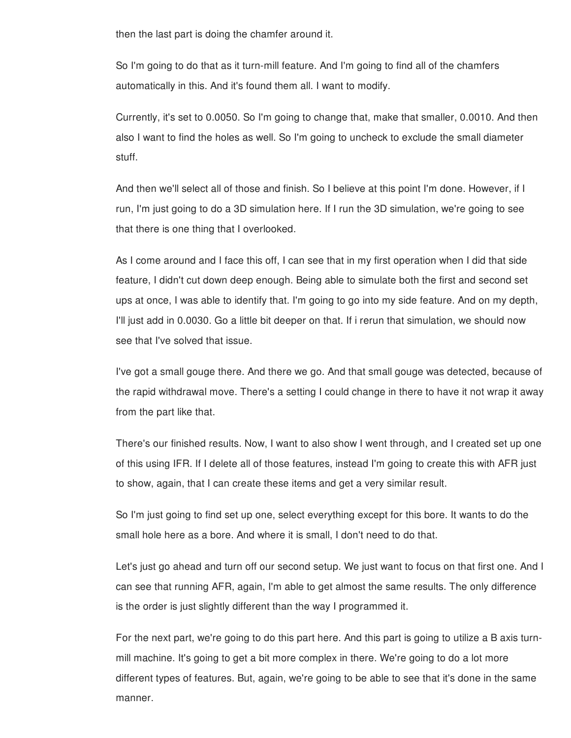then the last part is doing the chamfer around it.

So I'm going to do that as it turn-mill feature. And I'm going to find all of the chamfers automatically in this. And it's found them all. I want to modify.

Currently, it's set to 0.0050. So I'm going to change that, make that smaller, 0.0010. And then also I want to find the holes as well. So I'm going to uncheck to exclude the small diameter stuff.

And then we'll select all of those and finish. So I believe at this point I'm done. However, if I run, I'm just going to do a 3D simulation here. If I run the 3D simulation, we're going to see that there is one thing that I overlooked.

As I come around and I face this off, I can see that in my first operation when I did that side feature, I didn't cut down deep enough. Being able to simulate both the first and second set ups at once, I was able to identify that. I'm going to go into my side feature. And on my depth, I'll just add in 0.0030. Go a little bit deeper on that. If i rerun that simulation, we should now see that I've solved that issue.

I've got a small gouge there. And there we go. And that small gouge was detected, because of the rapid withdrawal move. There's a setting I could change in there to have it not wrap it away from the part like that.

There's our finished results. Now, I want to also show I went through, and I created set up one of this using IFR. If I delete all of those features, instead I'm going to create this with AFR just to show, again, that I can create these items and get a very similar result.

So I'm just going to find set up one, select everything except for this bore. It wants to do the small hole here as a bore. And where it is small, I don't need to do that.

Let's just go ahead and turn off our second setup. We just want to focus on that first one. And I can see that running AFR, again, I'm able to get almost the same results. The only difference is the order is just slightly different than the way I programmed it.

For the next part, we're going to do this part here. And this part is going to utilize a B axis turnmill machine. It's going to get a bit more complex in there. We're going to do a lot more different types of features. But, again, we're going to be able to see that it's done in the same manner.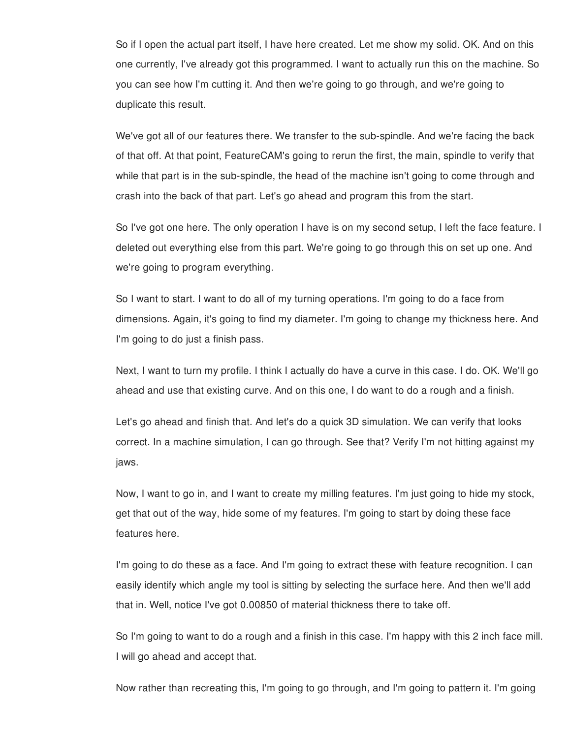So if I open the actual part itself, I have here created. Let me show my solid. OK. And on this one currently, I've already got this programmed. I want to actually run this on the machine. So you can see how I'm cutting it. And then we're going to go through, and we're going to duplicate this result.

We've got all of our features there. We transfer to the sub-spindle. And we're facing the back of that off. At that point, FeatureCAM's going to rerun the first, the main, spindle to verify that while that part is in the sub-spindle, the head of the machine isn't going to come through and crash into the back of that part. Let's go ahead and program this from the start.

So I've got one here. The only operation I have is on my second setup, I left the face feature. I deleted out everything else from this part. We're going to go through this on set up one. And we're going to program everything.

So I want to start. I want to do all of my turning operations. I'm going to do a face from dimensions. Again, it's going to find my diameter. I'm going to change my thickness here. And I'm going to do just a finish pass.

Next, I want to turn my profile. I think I actually do have a curve in this case. I do. OK. We'll go ahead and use that existing curve. And on this one, I do want to do a rough and a finish.

Let's go ahead and finish that. And let's do a quick 3D simulation. We can verify that looks correct. In a machine simulation, I can go through. See that? Verify I'm not hitting against my jaws.

Now, I want to go in, and I want to create my milling features. I'm just going to hide my stock, get that out of the way, hide some of my features. I'm going to start by doing these face features here.

I'm going to do these as a face. And I'm going to extract these with feature recognition. I can easily identify which angle my tool is sitting by selecting the surface here. And then we'll add that in. Well, notice I've got 0.00850 of material thickness there to take off.

So I'm going to want to do a rough and a finish in this case. I'm happy with this 2 inch face mill. I will go ahead and accept that.

Now rather than recreating this, I'm going to go through, and I'm going to pattern it. I'm going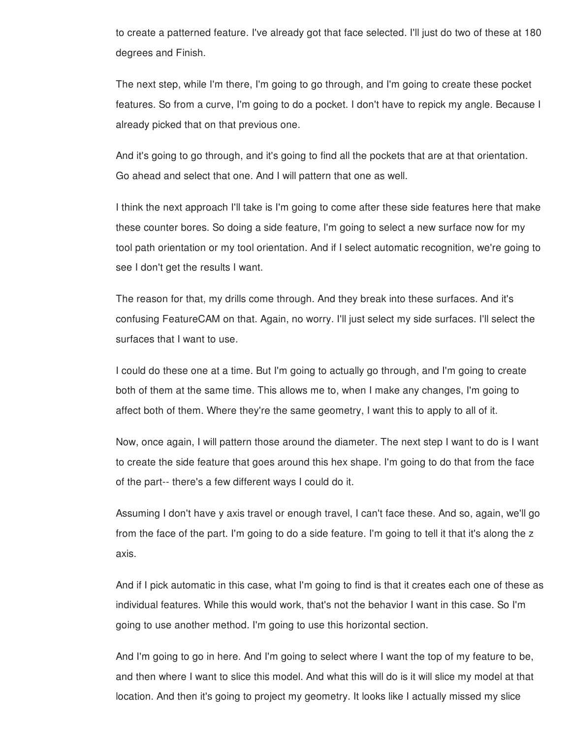to create a patterned feature. I've already got that face selected. I'll just do two of these at 180 degrees and Finish.

The next step, while I'm there, I'm going to go through, and I'm going to create these pocket features. So from a curve, I'm going to do a pocket. I don't have to repick my angle. Because I already picked that on that previous one.

And it's going to go through, and it's going to find all the pockets that are at that orientation. Go ahead and select that one. And I will pattern that one as well.

I think the next approach I'll take is I'm going to come after these side features here that make these counter bores. So doing a side feature, I'm going to select a new surface now for my tool path orientation or my tool orientation. And if I select automatic recognition, we're going to see I don't get the results I want.

The reason for that, my drills come through. And they break into these surfaces. And it's confusing FeatureCAM on that. Again, no worry. I'll just select my side surfaces. I'll select the surfaces that I want to use.

I could do these one at a time. But I'm going to actually go through, and I'm going to create both of them at the same time. This allows me to, when I make any changes, I'm going to affect both of them. Where they're the same geometry, I want this to apply to all of it.

Now, once again, I will pattern those around the diameter. The next step I want to do is I want to create the side feature that goes around this hex shape. I'm going to do that from the face of the part-- there's a few different ways I could do it.

Assuming I don't have y axis travel or enough travel, I can't face these. And so, again, we'll go from the face of the part. I'm going to do a side feature. I'm going to tell it that it's along the z axis.

And if I pick automatic in this case, what I'm going to find is that it creates each one of these as individual features. While this would work, that's not the behavior I want in this case. So I'm going to use another method. I'm going to use this horizontal section.

And I'm going to go in here. And I'm going to select where I want the top of my feature to be, and then where I want to slice this model. And what this will do is it will slice my model at that location. And then it's going to project my geometry. It looks like I actually missed my slice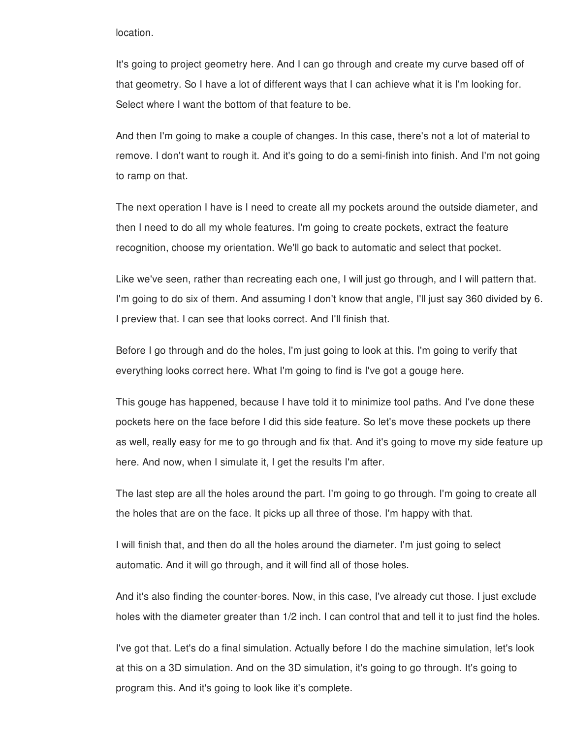## location.

It's going to project geometry here. And I can go through and create my curve based off of that geometry. So I have a lot of different ways that I can achieve what it is I'm looking for. Select where I want the bottom of that feature to be.

And then I'm going to make a couple of changes. In this case, there's not a lot of material to remove. I don't want to rough it. And it's going to do a semi-finish into finish. And I'm not going to ramp on that.

The next operation I have is I need to create all my pockets around the outside diameter, and then I need to do all my whole features. I'm going to create pockets, extract the feature recognition, choose my orientation. We'll go back to automatic and select that pocket.

Like we've seen, rather than recreating each one, I will just go through, and I will pattern that. I'm going to do six of them. And assuming I don't know that angle, I'll just say 360 divided by 6. I preview that. I can see that looks correct. And I'll finish that.

Before I go through and do the holes, I'm just going to look at this. I'm going to verify that everything looks correct here. What I'm going to find is I've got a gouge here.

This gouge has happened, because I have told it to minimize tool paths. And I've done these pockets here on the face before I did this side feature. So let's move these pockets up there as well, really easy for me to go through and fix that. And it's going to move my side feature up here. And now, when I simulate it, I get the results I'm after.

The last step are all the holes around the part. I'm going to go through. I'm going to create all the holes that are on the face. It picks up all three of those. I'm happy with that.

I will finish that, and then do all the holes around the diameter. I'm just going to select automatic. And it will go through, and it will find all of those holes.

And it's also finding the counter-bores. Now, in this case, I've already cut those. I just exclude holes with the diameter greater than 1/2 inch. I can control that and tell it to just find the holes.

I've got that. Let's do a final simulation. Actually before I do the machine simulation, let's look at this on a 3D simulation. And on the 3D simulation, it's going to go through. It's going to program this. And it's going to look like it's complete.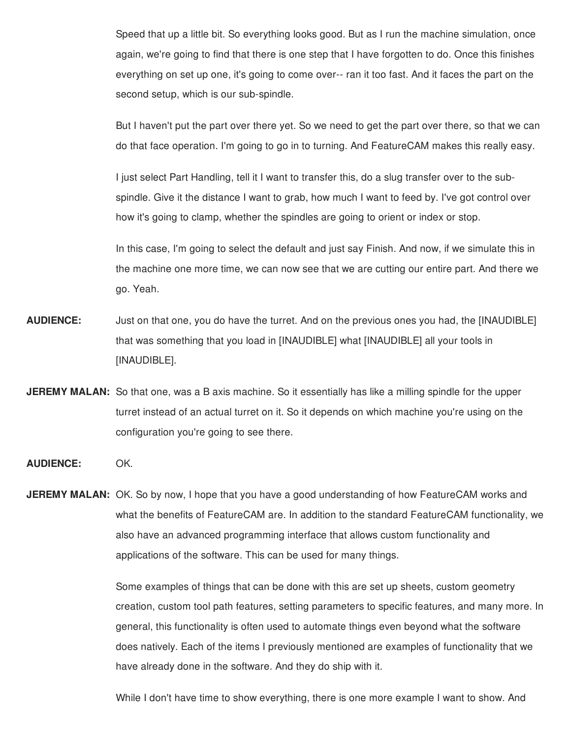Speed that up a little bit. So everything looks good. But as I run the machine simulation, once again, we're going to find that there is one step that I have forgotten to do. Once this finishes everything on set up one, it's going to come over-- ran it too fast. And it faces the part on the second setup, which is our sub-spindle.

But I haven't put the part over there yet. So we need to get the part over there, so that we can do that face operation. I'm going to go in to turning. And FeatureCAM makes this really easy.

I just select Part Handling, tell it I want to transfer this, do a slug transfer over to the subspindle. Give it the distance I want to grab, how much I want to feed by. I've got control over how it's going to clamp, whether the spindles are going to orient or index or stop.

In this case, I'm going to select the default and just say Finish. And now, if we simulate this in the machine one more time, we can now see that we are cutting our entire part. And there we go. Yeah.

- **AUDIENCE:** Just on that one, you do have the turret. And on the previous ones you had, the [INAUDIBLE] that was something that you load in [INAUDIBLE] what [INAUDIBLE] all your tools in [INAUDIBLE].
- **JEREMY MALAN:** So that one, was a B axis machine. So it essentially has like a milling spindle for the upper turret instead of an actual turret on it. So it depends on which machine you're using on the configuration you're going to see there.
- **AUDIENCE:** OK.

**JEREMY MALAN:** OK. So by now, I hope that you have a good understanding of how FeatureCAM works and what the benefits of FeatureCAM are. In addition to the standard FeatureCAM functionality, we also have an advanced programming interface that allows custom functionality and applications of the software. This can be used for many things.

> Some examples of things that can be done with this are set up sheets, custom geometry creation, custom tool path features, setting parameters to specific features, and many more. In general, this functionality is often used to automate things even beyond what the software does natively. Each of the items I previously mentioned are examples of functionality that we have already done in the software. And they do ship with it.

While I don't have time to show everything, there is one more example I want to show. And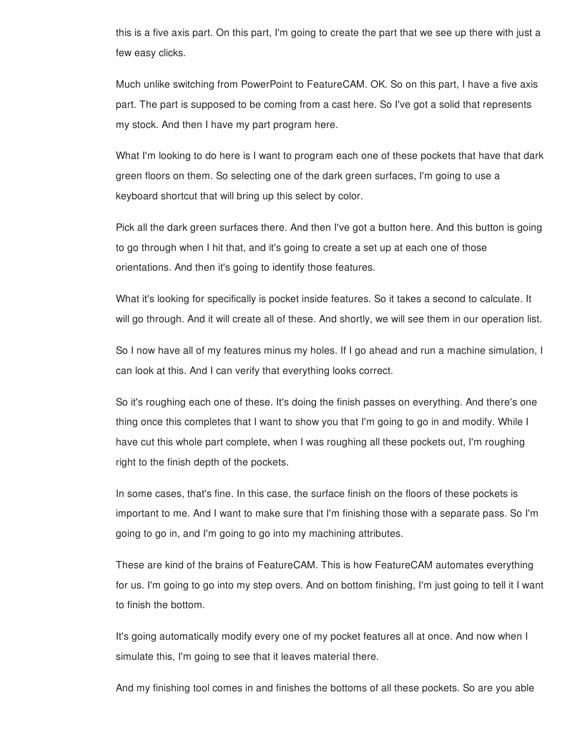this is a five axis part. On this part, I'm going to create the part that we see up there with just a few easy clicks.

Much unlike switching from PowerPoint to FeatureCAM. OK. So on this part, I have a five axis part. The part is supposed to be coming from a cast here. So I've got a solid that represents my stock. And then I have my part program here.

What I'm looking to do here is I want to program each one of these pockets that have that dark green floors on them. So selecting one of the dark green surfaces, I'm going to use a keyboard shortcut that will bring up this select by color.

Pick all the dark green surfaces there. And then I've got a button here. And this button is going to go through when I hit that, and it's going to create a set up at each one of those orientations. And then it's going to identify those features.

What it's looking for specifically is pocket inside features. So it takes a second to calculate. It will go through. And it will create all of these. And shortly, we will see them in our operation list.

So I now have all of my features minus my holes. If I go ahead and run a machine simulation, I can look at this. And I can verify that everything looks correct.

So it's roughing each one of these. It's doing the finish passes on everything. And there's one thing once this completes that I want to show you that I'm going to go in and modify. While I have cut this whole part complete, when I was roughing all these pockets out, I'm roughing right to the finish depth of the pockets.

In some cases, that's fine. In this case, the surface finish on the floors of these pockets is important to me. And I want to make sure that I'm finishing those with a separate pass. So I'm going to go in, and I'm going to go into my machining attributes.

These are kind of the brains of FeatureCAM. This is how FeatureCAM automates everything for us. I'm going to go into my step overs. And on bottom finishing, I'm just going to tell it I want to finish the bottom.

It's going automatically modify every one of my pocket features all at once. And now when I simulate this, I'm going to see that it leaves material there.

And my finishing tool comes in and finishes the bottoms of all these pockets. So are you able